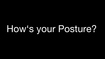## How's your Posture?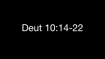## Deut 10:14-22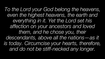*To the Lord your God belong the heavens, even the highest heavens, the earth and everything in it. Yet the Lord set his affection on your ancestors and loved them, and he chose you, their descendants, above all the nations—as it is today. Circumcise your hearts, therefore, and do not be stiff-necked any longer.*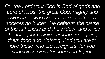*For the Lord your God is God of gods and Lord of lords, the great God, mighty and awesome, who shows no partiality and accepts no bribes. He defends the cause of the fatherless and the widow, and loves the foreigner residing among you, giving them food and clothing. And you are to love those who are foreigners, for you yourselves were foreigners in Egypt.*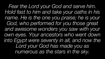*Fear the Lord your God and serve him. Hold fast to him and take your oaths in his name. He is the one you praise; he is your*  God, who performed for you those great *and awesome wonders you saw with your own eyes. Your ancestors who went down into Egypt were seventy in all, and now the Lord your God has made you as numerous as the stars in the sky.*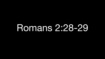## Romans 2:28-29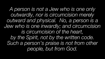*A person is not a Jew who is one only outwardly, nor is circumcision merely outward and physical. No, a person is a Jew who is one inwardly; and circumcision is circumcision of the heart, by the Spirit, not by the written code. Such a person's praise is not from other people, but from God.*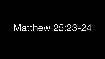## Matthew 25:23-24